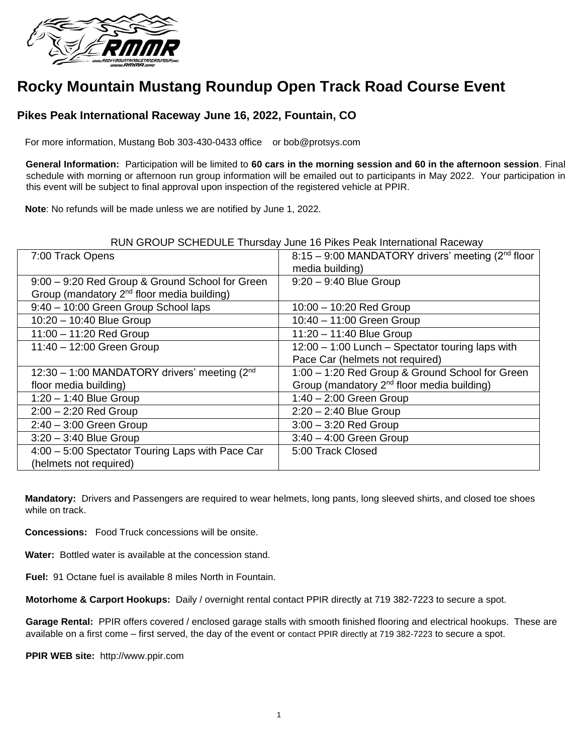

# **Rocky Mountain Mustang Roundup Open Track Road Course Event**

# **Pikes Peak International Raceway June 16, 2022, Fountain, CO**

For more information, Mustang Bob 303-430-0433 office or bob@protsys.com

**General Information:** Participation will be limited to **60 cars in the morning session and 60 in the afternoon session**. Final schedule with morning or afternoon run group information will be emailed out to participants in May 2022. Your participation in this event will be subject to final approval upon inspection of the registered vehicle at PPIR.

**Note**: No refunds will be made unless we are notified by June 1, 2022.

#### RUN GROUP SCHEDULE Thursday June 16 Pikes Peak International Raceway

| 7:00 Track Opens                                           | 8:15 - 9:00 MANDATORY drivers' meeting (2 <sup>nd</sup> floor |
|------------------------------------------------------------|---------------------------------------------------------------|
|                                                            | media building)                                               |
| 9:00 - 9:20 Red Group & Ground School for Green            | $9:20 - 9:40$ Blue Group                                      |
| Group (mandatory 2 <sup>nd</sup> floor media building)     |                                                               |
| 9:40 - 10:00 Green Group School laps                       | $10:00 - 10:20$ Red Group                                     |
| 10:20 - 10:40 Blue Group                                   | 10:40 - 11:00 Green Group                                     |
| $11:00 - 11:20$ Red Group                                  | 11:20 - 11:40 Blue Group                                      |
| 11:40 - 12:00 Green Group                                  | 12:00 - 1:00 Lunch - Spectator touring laps with              |
|                                                            | Pace Car (helmets not required)                               |
| 12:30 - 1:00 MANDATORY drivers' meeting (2 <sup>nd</sup> ) | 1:00 - 1:20 Red Group & Ground School for Green               |
| floor media building)                                      | Group (mandatory 2 <sup>nd</sup> floor media building)        |
| $1:20 - 1:40$ Blue Group                                   | $1:40 - 2:00$ Green Group                                     |
| $2:00 - 2:20$ Red Group                                    | $2:20 - 2:40$ Blue Group                                      |
| $2:40 - 3:00$ Green Group                                  | $3:00 - 3:20$ Red Group                                       |
| $3:20 - 3:40$ Blue Group                                   | $3:40 - 4:00$ Green Group                                     |
| 4:00 - 5:00 Spectator Touring Laps with Pace Car           | 5:00 Track Closed                                             |
| (helmets not required)                                     |                                                               |

**Mandatory:** Drivers and Passengers are required to wear helmets, long pants, long sleeved shirts, and closed toe shoes while on track.

**Concessions:** Food Truck concessions will be onsite.

**Water:** Bottled water is available at the concession stand.

**Fuel:** 91 Octane fuel is available 8 miles North in Fountain.

**Motorhome & Carport Hookups:** Daily / overnight rental contact PPIR directly at 719 382-7223 to secure a spot.

**Garage Rental:** PPIR offers covered / enclosed garage stalls with smooth finished flooring and electrical hookups. These are available on a first come – first served, the day of the event or contact PPIR directly at 719 382-7223 to secure a spot.

**PPIR WEB site:** http://www.ppir.com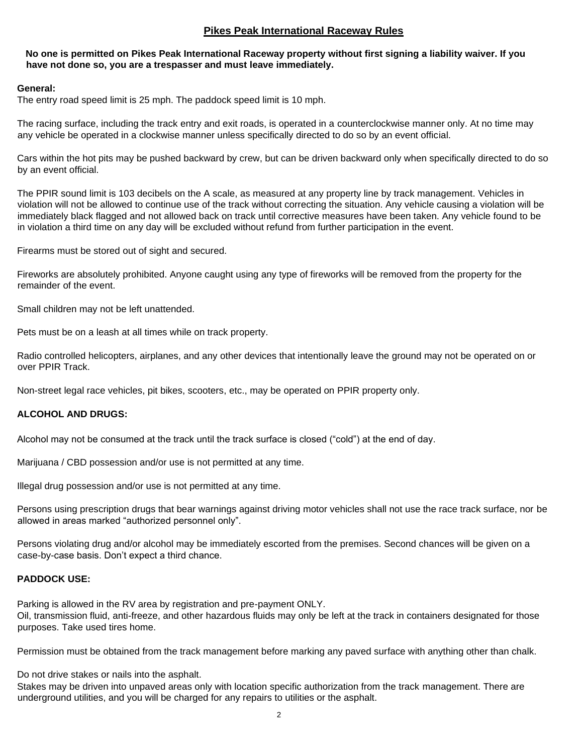## **Pikes Peak International Raceway Rules**

#### **No one is permitted on Pikes Peak International Raceway property without first signing a liability waiver. If you have not done so, you are a trespasser and must leave immediately.**

#### **General:**

The entry road speed limit is 25 mph. The paddock speed limit is 10 mph.

The racing surface, including the track entry and exit roads, is operated in a counterclockwise manner only. At no time may any vehicle be operated in a clockwise manner unless specifically directed to do so by an event official.

Cars within the hot pits may be pushed backward by crew, but can be driven backward only when specifically directed to do so by an event official.

The PPIR sound limit is 103 decibels on the A scale, as measured at any property line by track management. Vehicles in violation will not be allowed to continue use of the track without correcting the situation. Any vehicle causing a violation will be immediately black flagged and not allowed back on track until corrective measures have been taken. Any vehicle found to be in violation a third time on any day will be excluded without refund from further participation in the event.

Firearms must be stored out of sight and secured.

Fireworks are absolutely prohibited. Anyone caught using any type of fireworks will be removed from the property for the remainder of the event.

Small children may not be left unattended.

Pets must be on a leash at all times while on track property.

Radio controlled helicopters, airplanes, and any other devices that intentionally leave the ground may not be operated on or over PPIR Track.

Non-street legal race vehicles, pit bikes, scooters, etc., may be operated on PPIR property only.

### **ALCOHOL AND DRUGS:**

Alcohol may not be consumed at the track until the track surface is closed ("cold") at the end of day.

Marijuana / CBD possession and/or use is not permitted at any time.

Illegal drug possession and/or use is not permitted at any time.

Persons using prescription drugs that bear warnings against driving motor vehicles shall not use the race track surface, nor be allowed in areas marked "authorized personnel only".

Persons violating drug and/or alcohol may be immediately escorted from the premises. Second chances will be given on a case-by-case basis. Don't expect a third chance.

### **PADDOCK USE:**

Parking is allowed in the RV area by registration and pre-payment ONLY. Oil, transmission fluid, anti-freeze, and other hazardous fluids may only be left at the track in containers designated for those purposes. Take used tires home.

Permission must be obtained from the track management before marking any paved surface with anything other than chalk.

Do not drive stakes or nails into the asphalt.

Stakes may be driven into unpaved areas only with location specific authorization from the track management. There are underground utilities, and you will be charged for any repairs to utilities or the asphalt.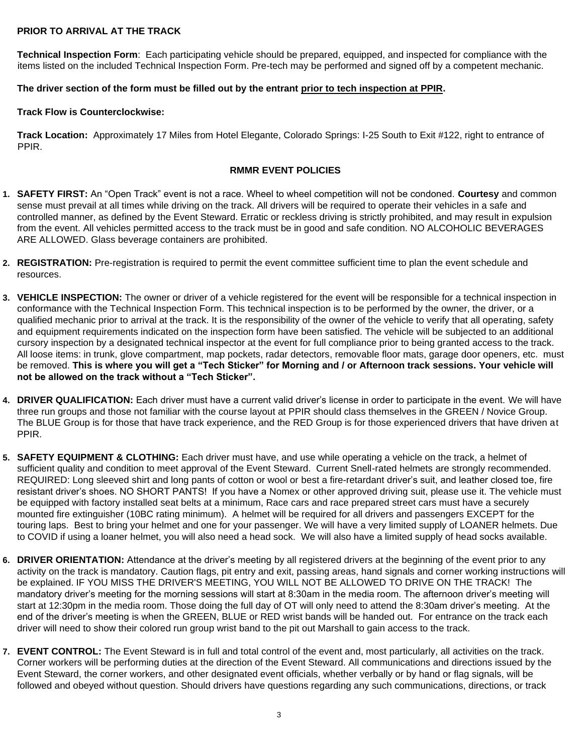### **PRIOR TO ARRIVAL AT THE TRACK**

**Technical Inspection Form**: Each participating vehicle should be prepared, equipped, and inspected for compliance with the items listed on the included Technical Inspection Form. Pre-tech may be performed and signed off by a competent mechanic.

#### **The driver section of the form must be filled out by the entrant prior to tech inspection at PPIR.**

#### **Track Flow is Counterclockwise:**

**Track Location:** Approximately 17 Miles from Hotel Elegante, Colorado Springs: I-25 South to Exit #122, right to entrance of PPIR.

#### **RMMR EVENT POLICIES**

- **1. SAFETY FIRST:** An "Open Track" event is not a race. Wheel to wheel competition will not be condoned. **Courtesy** and common sense must prevail at all times while driving on the track. All drivers will be required to operate their vehicles in a safe and controlled manner, as defined by the Event Steward. Erratic or reckless driving is strictly prohibited, and may result in expulsion from the event. All vehicles permitted access to the track must be in good and safe condition. NO ALCOHOLIC BEVERAGES ARE ALLOWED. Glass beverage containers are prohibited.
- **2. REGISTRATION:** Pre-registration is required to permit the event committee sufficient time to plan the event schedule and resources.
- **3. VEHICLE INSPECTION:** The owner or driver of a vehicle registered for the event will be responsible for a technical inspection in conformance with the Technical Inspection Form. This technical inspection is to be performed by the owner, the driver, or a qualified mechanic prior to arrival at the track. It is the responsibility of the owner of the vehicle to verify that all operating, safety and equipment requirements indicated on the inspection form have been satisfied. The vehicle will be subjected to an additional cursory inspection by a designated technical inspector at the event for full compliance prior to being granted access to the track. All loose items: in trunk, glove compartment, map pockets, radar detectors, removable floor mats, garage door openers, etc. must be removed. **This is where you will get a "Tech Sticker" for Morning and / or Afternoon track sessions. Your vehicle will not be allowed on the track without a "Tech Sticker".**
- **4. DRIVER QUALIFICATION:** Each driver must have a current valid driver's license in order to participate in the event. We will have three run groups and those not familiar with the course layout at PPIR should class themselves in the GREEN / Novice Group. The BLUE Group is for those that have track experience, and the RED Group is for those experienced drivers that have driven at PPIR.
- **5. SAFETY EQUIPMENT & CLOTHING:** Each driver must have, and use while operating a vehicle on the track, a helmet of sufficient quality and condition to meet approval of the Event Steward. Current Snell-rated helmets are strongly recommended. REQUIRED: Long sleeved shirt and long pants of cotton or wool or best a fire-retardant driver's suit, and leather closed toe, fire resistant driver's shoes. NO SHORT PANTS! If you have a Nomex or other approved driving suit, please use it. The vehicle must be equipped with factory installed seat belts at a minimum, Race cars and race prepared street cars must have a securely mounted fire extinguisher (10BC rating minimum). A helmet will be required for all drivers and passengers EXCEPT for the touring laps. Best to bring your helmet and one for your passenger. We will have a very limited supply of LOANER helmets. Due to COVID if using a loaner helmet, you will also need a head sock. We will also have a limited supply of head socks available.
- **6. DRIVER ORIENTATION:** Attendance at the driver's meeting by all registered drivers at the beginning of the event prior to any activity on the track is mandatory. Caution flags, pit entry and exit, passing areas, hand signals and corner working instructions will be explained. IF YOU MISS THE DRIVER'S MEETING, YOU WILL NOT BE ALLOWED TO DRIVE ON THE TRACK! The mandatory driver's meeting for the morning sessions will start at 8:30am in the media room. The afternoon driver's meeting will start at 12:30pm in the media room. Those doing the full day of OT will only need to attend the 8:30am driver's meeting. At the end of the driver's meeting is when the GREEN, BLUE or RED wrist bands will be handed out. For entrance on the track each driver will need to show their colored run group wrist band to the pit out Marshall to gain access to the track.
- **7. EVENT CONTROL:** The Event Steward is in full and total control of the event and, most particularly, all activities on the track. Corner workers will be performing duties at the direction of the Event Steward. All communications and directions issued by the Event Steward, the corner workers, and other designated event officials, whether verbally or by hand or flag signals, will be followed and obeyed without question. Should drivers have questions regarding any such communications, directions, or track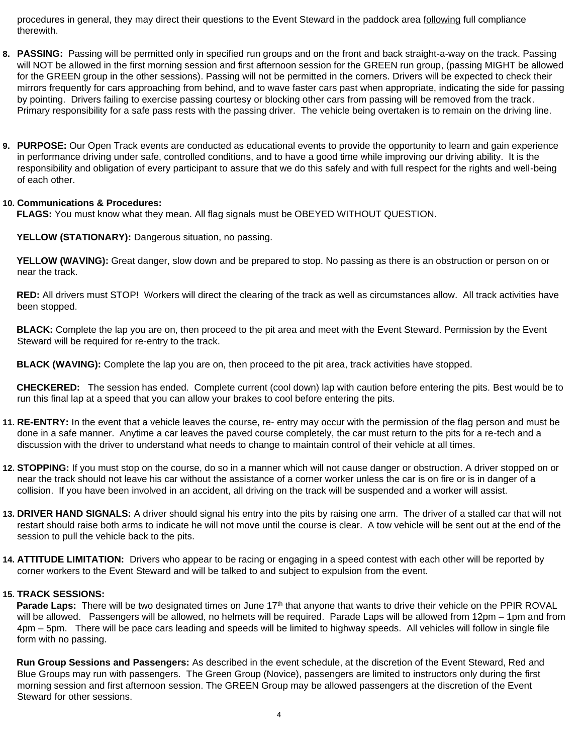procedures in general, they may direct their questions to the Event Steward in the paddock area following full compliance therewith.

- **8. PASSING:** Passing will be permitted only in specified run groups and on the front and back straight-a-way on the track. Passing will NOT be allowed in the first morning session and first afternoon session for the GREEN run group, (passing MIGHT be allowed for the GREEN group in the other sessions). Passing will not be permitted in the corners. Drivers will be expected to check their mirrors frequently for cars approaching from behind, and to wave faster cars past when appropriate, indicating the side for passing by pointing. Drivers failing to exercise passing courtesy or blocking other cars from passing will be removed from the track. Primary responsibility for a safe pass rests with the passing driver. The vehicle being overtaken is to remain on the driving line.
- **9. PURPOSE:** Our Open Track events are conducted as educational events to provide the opportunity to learn and gain experience in performance driving under safe, controlled conditions, and to have a good time while improving our driving ability. It is the responsibility and obligation of every participant to assure that we do this safely and with full respect for the rights and well-being of each other.

#### **10. Communications & Procedures:**

**FLAGS:** You must know what they mean. All flag signals must be OBEYED WITHOUT QUESTION.

**YELLOW (STATIONARY):** Dangerous situation, no passing.

**YELLOW (WAVING):** Great danger, slow down and be prepared to stop. No passing as there is an obstruction or person on or near the track.

**RED:** All drivers must STOP! Workers will direct the clearing of the track as well as circumstances allow. All track activities have been stopped.

**BLACK:** Complete the lap you are on, then proceed to the pit area and meet with the Event Steward. Permission by the Event Steward will be required for re-entry to the track.

**BLACK (WAVING):** Complete the lap you are on, then proceed to the pit area, track activities have stopped.

**CHECKERED:** The session has ended. Complete current (cool down) lap with caution before entering the pits. Best would be to run this final lap at a speed that you can allow your brakes to cool before entering the pits.

- **11. RE-ENTRY:** In the event that a vehicle leaves the course, re- entry may occur with the permission of the flag person and must be done in a safe manner. Anytime a car leaves the paved course completely, the car must return to the pits for a re-tech and a discussion with the driver to understand what needs to change to maintain control of their vehicle at all times.
- **12. STOPPING:** If you must stop on the course, do so in a manner which will not cause danger or obstruction. A driver stopped on or near the track should not leave his car without the assistance of a corner worker unless the car is on fire or is in danger of a collision. If you have been involved in an accident, all driving on the track will be suspended and a worker will assist.
- **13. DRIVER HAND SIGNALS:** A driver should signal his entry into the pits by raising one arm. The driver of a stalled car that will not restart should raise both arms to indicate he will not move until the course is clear. A tow vehicle will be sent out at the end of the session to pull the vehicle back to the pits.
- **14. ATTITUDE LIMITATION:** Drivers who appear to be racing or engaging in a speed contest with each other will be reported by corner workers to the Event Steward and will be talked to and subject to expulsion from the event.

#### **15. TRACK SESSIONS:**

**Parade Laps:** There will be two designated times on June 17<sup>th</sup> that anyone that wants to drive their vehicle on the PPIR ROVAL will be allowed. Passengers will be allowed, no helmets will be required. Parade Laps will be allowed from 12pm – 1pm and from 4pm – 5pm. There will be pace cars leading and speeds will be limited to highway speeds. All vehicles will follow in single file form with no passing.

**Run Group Sessions and Passengers:** As described in the event schedule, at the discretion of the Event Steward, Red and Blue Groups may run with passengers. The Green Group (Novice), passengers are limited to instructors only during the first morning session and first afternoon session. The GREEN Group may be allowed passengers at the discretion of the Event Steward for other sessions.